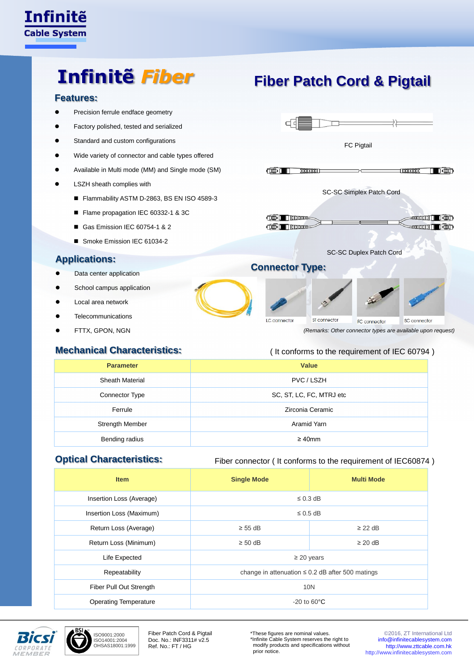

# **Infinitẽ** *Fiber*

# **Features:**

- Precision ferrule endface geometry
- Factory polished, tested and serialized
- Standard and custom configurations
- Wide variety of connector and cable types offered
- Available in Multi mode (MM) and Single mode (SM)
- LSZH sheath complies with
	- Flammability ASTM D-2863, BS EN ISO 4589-3
	- Flame propagation IEC 60332-1 & 3C
	- Gas Emission IEC 60754-1 & 2
	- Smoke Emission IEC 61034-2

## **Applications:**

- Data center application
- **•** School campus application
- Local area network
- **Telecommunications**
- FTTX, GPON, NGN

### **Mechanical Characteristics:**



ST connector FC connector SC connector *(Remarks: Other connector types are available upon request)*

#### ( It conforms to the requirement of IEC 60794 )

| <b>Parameter</b>       | Value                    |  |  |
|------------------------|--------------------------|--|--|
| <b>Sheath Material</b> | PVC / LSZH               |  |  |
| Connector Type         | SC, ST, LC, FC, MTRJ etc |  |  |
| Ferrule                | Zirconia Ceramic         |  |  |
| <b>Strength Member</b> | Aramid Yarn              |  |  |
| Bending radius         | $\geq 40$ mm             |  |  |

LC connector

### **Optical Characteristics:**

#### Fiber connector ( It conforms to the requirement of IEC60874 )

| <b>Item</b>                  | <b>Single Mode</b>                                    | <b>Multi Mode</b> |  |
|------------------------------|-------------------------------------------------------|-------------------|--|
| Insertion Loss (Average)     | $\leq$ 0.3 dB                                         |                   |  |
| Insertion Loss (Maximum)     | $\leq$ 0.5 dB                                         |                   |  |
| Return Loss (Average)        | $\geq$ 55 dB                                          | $\geq$ 22 dB      |  |
| Return Loss (Minimum)        | $\geq 50$ dB                                          | $\geq$ 20 dB      |  |
| Life Expected                | $\geq$ 20 years                                       |                   |  |
| Repeatability                | change in attenuation $\leq$ 0.2 dB after 500 matings |                   |  |
| Fiber Pull Out Strength      | <b>10N</b>                                            |                   |  |
| <b>Operating Temperature</b> | $-20$ to 60 $\degree$ C                               |                   |  |



ISO9001:2000 ISO14001:2004 OHSAS18001:1999

Fiber Patch Cord & Pigtail Doc. No.: INF3311# v2.5 Ref. No.: FT / HG

\*These figures are nominal values. \*Infinite Cable System reserves the right to modify products and specifications without prior notice.

© 2016, ZT International Ltd [info@infinitecablesystem.com](mailto:info@infinitecablesystem.com) [http://www.zttcable.com.hk](http://www.zttcable.com.hk/) [http://www.infinitecablesystem.com](http://www.infinitecablesystem.com/)